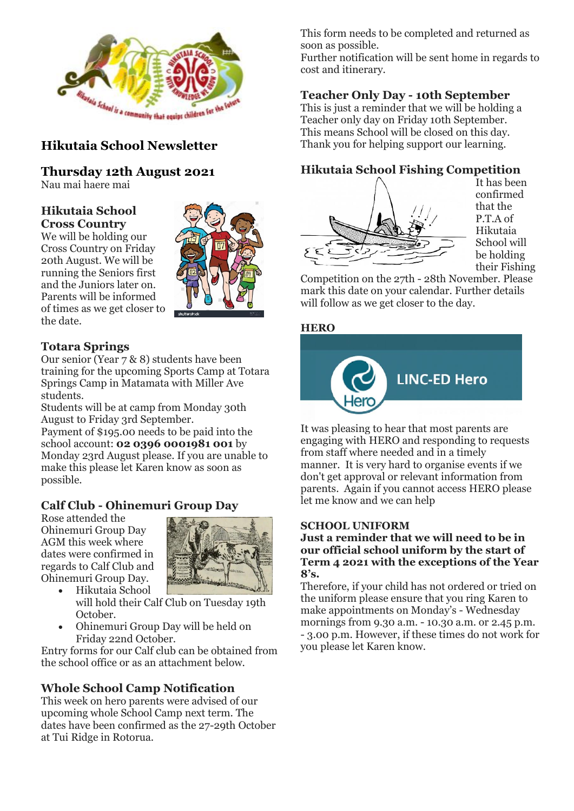

## **Hikutaia School Newsletter**

**Thursday 12th August 2021**

Nau mai haere mai

#### **Hikutaia School Cross Country**

We will be holding our Cross Country on Friday 20th August. We will be running the Seniors first and the Juniors later on. Parents will be informed of times as we get closer to the date.



## **Totara Springs**

Our senior (Year 7 & 8) students have been training for the upcoming Sports Camp at Totara Springs Camp in Matamata with Miller Ave students.

Students will be at camp from Monday 30th August to Friday 3rd September.

Payment of \$195.00 needs to be paid into the school account: **02 0396 0001981 001** by Monday 23rd August please. If you are unable to make this please let Karen know as soon as possible.

## **Calf Club - Ohinemuri Group Day**

Rose attended the Ohinemuri Group Day AGM this week where dates were confirmed in regards to Calf Club and Ohinemuri Group Day.



- Hikutaia School will hold their Calf Club on Tuesday 19th October.
- Ohinemuri Group Day will be held on Friday 22nd October.

Entry forms for our Calf club can be obtained from the school office or as an attachment below.

## **Whole School Camp Notification**

This week on hero parents were advised of our upcoming whole School Camp next term. The dates have been confirmed as the 27-29th October at Tui Ridge in Rotorua.

This form needs to be completed and returned as soon as possible.

Further notification will be sent home in regards to cost and itinerary.

## **Teacher Only Day - 10th September**

This is just a reminder that we will be holding a Teacher only day on Friday 10th September. This means School will be closed on this day. Thank you for helping support our learning.

## **Hikutaia School Fishing Competition**



It has been confirmed that the P.T.A of Hikutaia School will be holding their Fishing

Competition on the 27th - 28th November. Please mark this date on your calendar. Further details will follow as we get closer to the day.

### **HERO**



It was pleasing to hear that most parents are engaging with HERO and responding to requests from staff where needed and in a timely manner. It is very hard to organise events if we don't get approval or relevant information from parents. Again if you cannot access HERO please let me know and we can help

#### **SCHOOL UNIFORM**

**Just a reminder that we will need to be in our official school uniform by the start of Term 4 2021 with the exceptions of the Year 8's.**

Therefore, if your child has not ordered or tried on the uniform please ensure that you ring Karen to make appointments on Monday's - Wednesday mornings from 9.30 a.m. - 10.30 a.m. or 2.45 p.m. - 3.00 p.m. However, if these times do not work for you please let Karen know.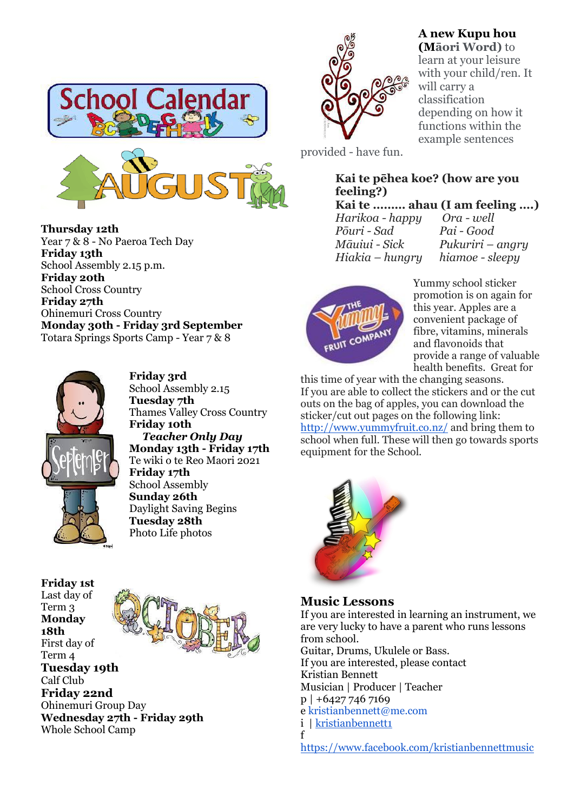





**Friday 3rd** School Assembly 2.15 **Tuesday 7th** Thames Valley Cross Country **Friday 10th**  *Teacher Only Day* **Monday 13th - Friday 17th** Te wiki o te Reo Maori 2021 **Friday 17th** School Assembly **Sunday 26th** Daylight Saving Begins **Tuesday 28th** Photo Life photos

**Friday 1st** Last day of Term 3 **Monday 18th** First day of Term 4 **Tuesday 19th** Calf Club **Friday 22nd** Ohinemuri Group Day **Wednesday 27th - Friday 29th** Whole School Camp



## **A new Kupu hou**

**(Māori Word)** to learn at your leisure with your child/ren. It will carry a classification depending on how it functions within the example sentences

provided - have fun.

#### **Kai te pēhea koe? (how are you feeling?)**

**Kai te ……… ahau (I am feeling ….)**

*Harikoa - happy Ora - well Pōuri - Sad Pai - Good*

*Māuiui - Sick Pukuriri – angry Hiakia – hungry hiamoe - sleepy*



Yummy school sticker promotion is on again for this year. Apples are a convenient package of fibre, vitamins, minerals and flavonoids that provide a range of valuable health benefits. Great for

this time of year with the changing seasons. If you are able to collect the stickers and or the cut outs on the bag of apples, you can download the sticker/cut out pages on the following link: <http://www.yummyfruit.co.nz/> and bring them to school when full. These will then go towards sports equipment for the School.



**Music Lessons**

If you are interested in learning an instrument, we are very lucky to have a parent who runs lessons from school. Guitar, Drums, Ukulele or Bass. If you are interested, please contact Kristian Bennett Musician | Producer | Teacher p | +6427 746 7169 e kristianbennett@me.com i | [kristianbennett1](https://l.facebook.com/l.php?u=https%3A%2F%2Fwww.instagram.com%2Fkristianbennett1%3Ffbclid%3DIwAR3ieJzUI2AzaGXYJTleWFP90UfmyYnXBQ7EhOo7GYR_bhm7MktX3VDCftQ&h=AT1wnkYm3-2uROTSKgParZxHNH1bSqt4L7Gg95T6BenaEpN7-ETFcLq4ycy0UUDo_BsDmQWBVBhLBOeMFoLbhG_DMGtUZEhQOmfBE0HzIXZIajpF-RbOnNE0Ri9mvTh_0icbCu4oU0hr1zg8kBPQU1c) f [https://www.facebook.com/kristianbennettmusic](https://www.facebook.com/profile.php?id=774498351)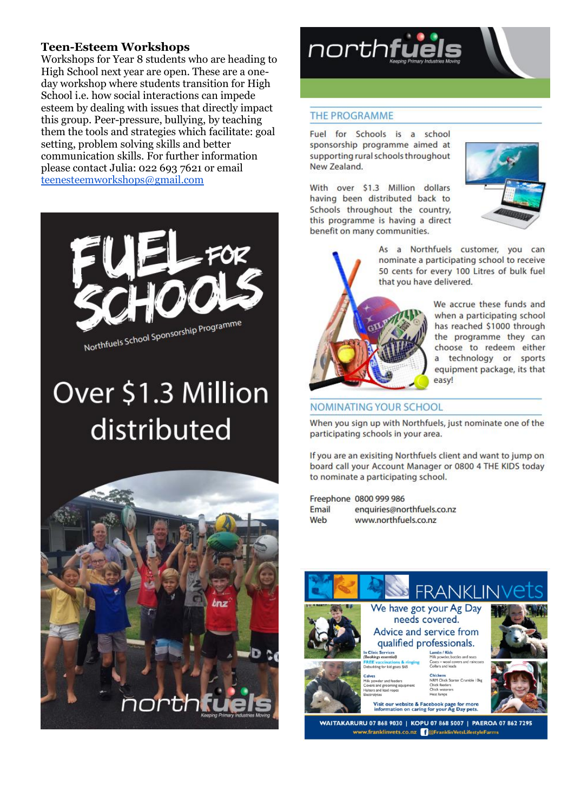#### **Teen-Esteem Workshops**

Workshops for Year 8 students who are heading to High School next year are open. These are a oneday workshop where students transition for High School *i.e.* how social interactions can impede esteem by dealing with issues that directly impact this group. Peer-pressure, bullying, by teaching them the tools and strategies which facilitate: goal setting, problem solving skills and better communication skills. For further information please contact Julia: 022 693 7621 or email teenesteemworkshops@gmail.com



# Over \$1.3 Million distributed





#### **THE PROGRAMME**

Fuel for Schools is a school sponsorship programme aimed at supporting rural schools throughout New Zealand.

With over \$1.3 Million dollars having been distributed back to Schools throughout the country, this programme is having a direct benefit on many communities.



As a Northfuels customer, you can nominate a participating school to receive 50 cents for every 100 Litres of bulk fuel that you have delivered.



We accrue these funds and when a participating school has reached \$1000 through the programme they can choose to redeem either a technology or sports equipment package, its that easy!

#### **NOMINATING YOUR SCHOOL**

When you sign up with Northfuels, just nominate one of the participating schools in your area.

If you are an exisiting Northfuels client and want to jump on board call your Account Manager or 0800 4 THE KIDS today to nominate a participating school.

Freephone 0800 999 986 Email enquiries@northfuels.co.nz Web www.northfuels.co.nz



WAITAKARURU 07 868 9030 | KOPU 07 868 5007 | PAEROA 07 862 7295 www.franklinvets.co.nz CoFranklinVetsLifestyleFarms